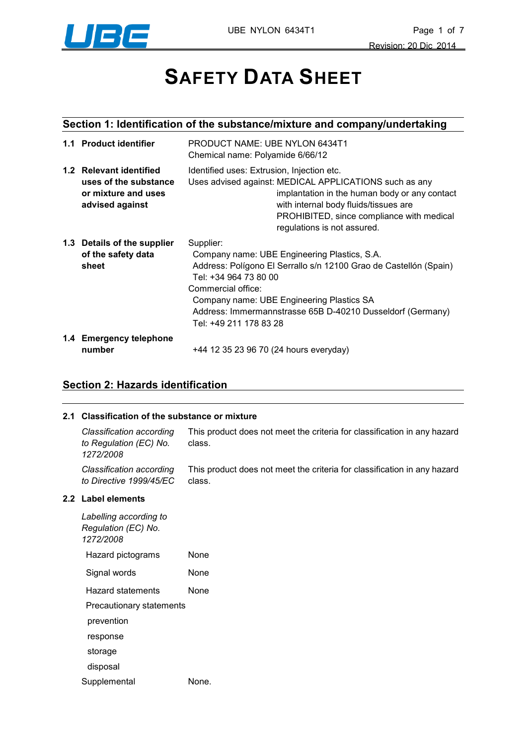

# **SAFETY DATA SHEET**

# **Section 1: Identification of the substance/mixture and company/undertaking**

|     | 1.1 Product identifier                                                                        | PRODUCT NAME: UBE NYLON 6434T1<br>Chemical name: Polyamide 6/66/12                                                                                                                                                                                                                                                 |  |
|-----|-----------------------------------------------------------------------------------------------|--------------------------------------------------------------------------------------------------------------------------------------------------------------------------------------------------------------------------------------------------------------------------------------------------------------------|--|
| 1.2 | <b>Relevant identified</b><br>uses of the substance<br>or mixture and uses<br>advised against | Identified uses: Extrusion, Injection etc.<br>Uses advised against: MEDICAL APPLICATIONS such as any<br>implantation in the human body or any contact<br>with internal body fluids/tissues are<br>PROHIBITED, since compliance with medical<br>regulations is not assured.                                         |  |
|     | 1.3 Details of the supplier<br>of the safety data<br>sheet                                    | Supplier:<br>Company name: UBE Engineering Plastics, S.A.<br>Address: Polígono El Serrallo s/n 12100 Grao de Castellón (Spain)<br>Tel: +34 964 73 80 00<br>Commercial office:<br>Company name: UBE Engineering Plastics SA<br>Address: Immermannstrasse 65B D-40210 Dusseldorf (Germany)<br>Tel: +49 211 178 83 28 |  |
|     | 1.4 Emergency telephone<br>number                                                             | +44 12 35 23 96 70 (24 hours everyday)                                                                                                                                                                                                                                                                             |  |

## **Section 2: Hazards identification**

#### **2.1 Classification of the substance or mixture**

| Classification according<br>to Regulation (EC) No.         | This product does not meet the criteria for classification in any hazard<br>class. |
|------------------------------------------------------------|------------------------------------------------------------------------------------|
| 1272/2008                                                  |                                                                                    |
| Classification according<br>to Directive 1999/45/EC        | This product does not meet the criteria for classification in any hazard<br>class. |
| 2.2 Label elements                                         |                                                                                    |
| Labelling according to<br>Regulation (EC) No.<br>1272/2008 |                                                                                    |
| Hazard pictograms                                          | None                                                                               |
| Signal words                                               | None                                                                               |
| Hazard statements                                          | <b>None</b>                                                                        |
| Precautionary statements                                   |                                                                                    |

#### **2.2 Label elements**

| Labelling according to<br>Regulation (EC) No.<br>1272/2008 |      |  |
|------------------------------------------------------------|------|--|
| Hazard pictograms                                          | None |  |
| Signal words                                               | None |  |
| Hazard statements                                          | None |  |
| Precautionary statements                                   |      |  |
| prevention                                                 |      |  |
| response                                                   |      |  |
| storage                                                    |      |  |
| disposal                                                   |      |  |
| Supplemental<br>None.                                      |      |  |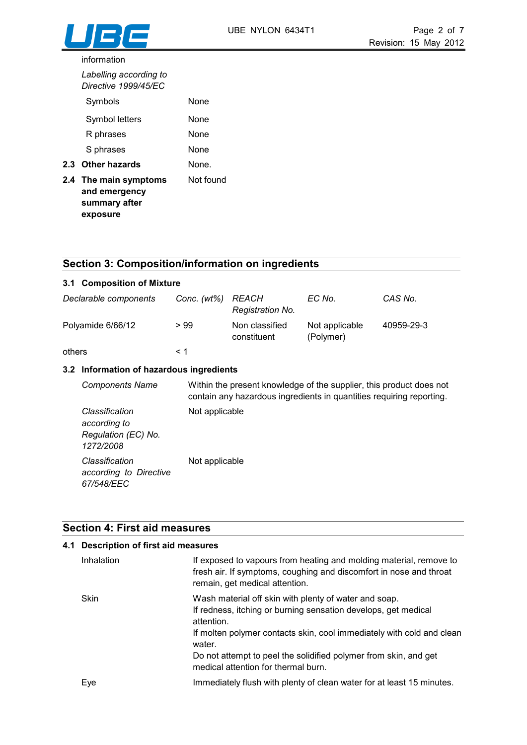#### information

| Labelling according to<br>Directive 1999/45/EC                      |           |
|---------------------------------------------------------------------|-----------|
| Symbols                                                             | None      |
| Symbol letters                                                      | None      |
| R phrases                                                           | None      |
| S phrases                                                           | None      |
| 2.3 Other hazards                                                   | None.     |
| 2.4 The main symptoms<br>and emergency<br>summary after<br>exposure | Not found |

#### **Section 3: Composition/information on ingredients**

| 3.1 Composition of Mixture |                |                               |                             |            |
|----------------------------|----------------|-------------------------------|-----------------------------|------------|
| Declarable components      | Conc. $(wt\%)$ | REACH<br>Registration No.     | EC No.                      | CAS No.    |
| Polyamide 6/66/12          | >99            | Non classified<br>constituent | Not applicable<br>(Polymer) | 40959-29-3 |
| others                     | ← 1            |                               |                             |            |

#### **3.2 Information of hazardous ingredients**

*Components Name* Within the present knowledge of the supplier, this product does not contain any hazardous ingredients in quantities requiring reporting. *Classification according to Regulation (EC) No. 1272/2008*  Not applicable *Classification according to Directive 67/548/EEC*  Not applicable

#### **Section 4: First aid measures**

## **4.1 Description of first aid measures**

| Inhalation  | If exposed to vapours from heating and molding material, remove to<br>fresh air. If symptoms, coughing and discomfort in nose and throat<br>remain, get medical attention. |
|-------------|----------------------------------------------------------------------------------------------------------------------------------------------------------------------------|
| <b>Skin</b> | Wash material off skin with plenty of water and soap.<br>If redness, itching or burning sensation develops, get medical<br>attention.                                      |
|             | If molten polymer contacts skin, cool immediately with cold and clean<br>water.                                                                                            |
|             | Do not attempt to peel the solidified polymer from skin, and get<br>medical attention for thermal burn.                                                                    |
| Eve         | Immediately flush with plenty of clean water for at least 15 minutes.                                                                                                      |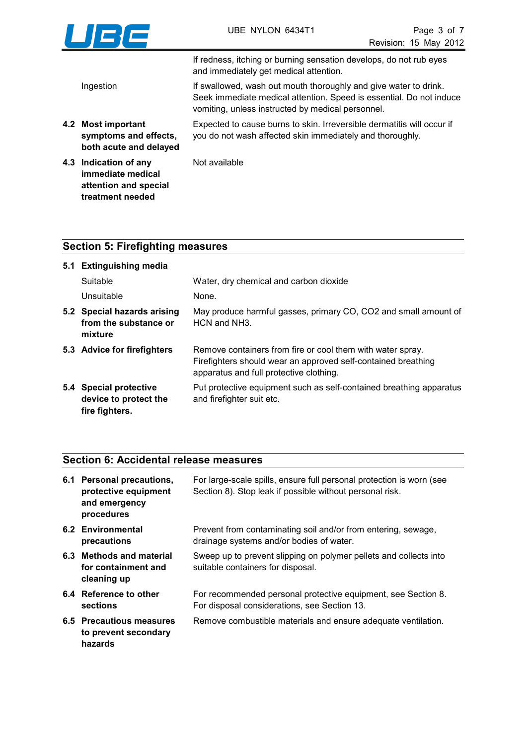

If redness, itching or burning sensation develops, do not rub eyes and immediately get medical attention.

Ingestion If swallowed, wash out mouth thoroughly and give water to drink. Seek immediate medical attention. Speed is essential. Do not induce vomiting, unless instructed by medical personnel.

**4.2 Most important symptoms and effects,**  Expected to cause burns to skin. Irreversible dermatitis will occur if you do not wash affected skin immediately and thoroughly.

**both acute and delayed 4.3 Indication of any immediate medical** 

> **attention and special treatment needed**

Not available

## **Section 5: Firefighting measures**

| 5.1 Extinguishing media                                           |                                                                                                                                                                        |  |
|-------------------------------------------------------------------|------------------------------------------------------------------------------------------------------------------------------------------------------------------------|--|
| Suitable                                                          | Water, dry chemical and carbon dioxide                                                                                                                                 |  |
| Unsuitable                                                        | None.                                                                                                                                                                  |  |
| 5.2 Special hazards arising<br>from the substance or<br>mixture   | May produce harmful gasses, primary CO, CO2 and small amount of<br>HCN and NH3.                                                                                        |  |
| 5.3 Advice for firefighters                                       | Remove containers from fire or cool them with water spray.<br>Firefighters should wear an approved self-contained breathing<br>apparatus and full protective clothing. |  |
| 5.4 Special protective<br>device to protect the<br>fire fighters. | Put protective equipment such as self-contained breathing apparatus<br>and firefighter suit etc.                                                                       |  |

#### **Section 6: Accidental release measures**

| 6.1 Personal precautions,<br>protective equipment<br>and emergency<br>procedures | For large-scale spills, ensure full personal protection is worn (see<br>Section 8). Stop leak if possible without personal risk. |
|----------------------------------------------------------------------------------|----------------------------------------------------------------------------------------------------------------------------------|
| 6.2 Environmental<br>precautions                                                 | Prevent from contaminating soil and/or from entering, sewage,<br>drainage systems and/or bodies of water.                        |
| 6.3 Methods and material<br>for containment and<br>cleaning up                   | Sweep up to prevent slipping on polymer pellets and collects into<br>suitable containers for disposal.                           |
| 6.4 Reference to other<br>sections                                               | For recommended personal protective equipment, see Section 8.<br>For disposal considerations, see Section 13.                    |
| 6.5 Precautious measures<br>to prevent secondary<br>hazards                      | Remove combustible materials and ensure adequate ventilation.                                                                    |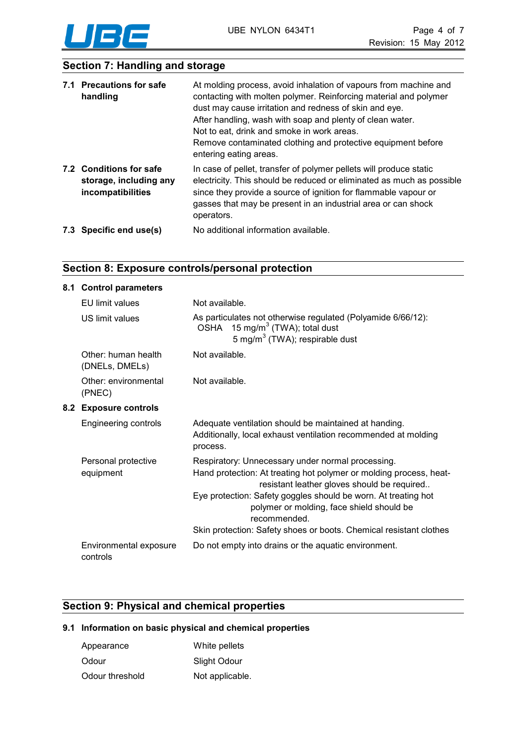

## **Section 7: Handling and storage**

| 7.1 Precautions for safe<br>handling                                   | At molding process, avoid inhalation of vapours from machine and<br>contacting with molten polymer. Reinforcing material and polymer<br>dust may cause irritation and redness of skin and eye.<br>After handling, wash with soap and plenty of clean water.<br>Not to eat, drink and smoke in work areas.<br>Remove contaminated clothing and protective equipment before<br>entering eating areas. |
|------------------------------------------------------------------------|-----------------------------------------------------------------------------------------------------------------------------------------------------------------------------------------------------------------------------------------------------------------------------------------------------------------------------------------------------------------------------------------------------|
| 7.2 Conditions for safe<br>storage, including any<br>incompatibilities | In case of pellet, transfer of polymer pellets will produce static<br>electricity. This should be reduced or eliminated as much as possible<br>since they provide a source of ignition for flammable vapour or<br>gasses that may be present in an industrial area or can shock<br>operators.                                                                                                       |
| 7.3 Specific end use(s)                                                | No additional information available.                                                                                                                                                                                                                                                                                                                                                                |

## **Section 8: Exposure controls/personal protection**

#### **8.1 Control parameters**

|     | EU limit values                       | Not available.                                                                                                                                                                                                                                                                                        |
|-----|---------------------------------------|-------------------------------------------------------------------------------------------------------------------------------------------------------------------------------------------------------------------------------------------------------------------------------------------------------|
|     | US limit values                       | As particulates not otherwise regulated (Polyamide 6/66/12):<br>OSHA 15 mg/m <sup>3</sup> (TWA); total dust<br>5 mg/m <sup>3</sup> (TWA); respirable dust                                                                                                                                             |
|     | Other: human health<br>(DNELs, DMELs) | Not available.                                                                                                                                                                                                                                                                                        |
|     | Other: environmental<br>(PNEC)        | Not available.                                                                                                                                                                                                                                                                                        |
| 8.2 | <b>Exposure controls</b>              |                                                                                                                                                                                                                                                                                                       |
|     | Engineering controls                  | Adequate ventilation should be maintained at handing.<br>Additionally, local exhaust ventilation recommended at molding<br>process.                                                                                                                                                                   |
|     | Personal protective<br>equipment      | Respiratory: Unnecessary under normal processing.<br>Hand protection: At treating hot polymer or molding process, heat-<br>resistant leather gloves should be required<br>Eye protection: Safety goggles should be worn. At treating hot<br>polymer or molding, face shield should be<br>recommended. |
|     |                                       | Skin protection: Safety shoes or boots. Chemical resistant clothes                                                                                                                                                                                                                                    |
|     | Environmental exposure<br>controls    | Do not empty into drains or the aquatic environment.                                                                                                                                                                                                                                                  |

## **Section 9: Physical and chemical properties**

#### **9.1 Information on basic physical and chemical properties**

| Appearance      | White pellets   |
|-----------------|-----------------|
| Odour           | Slight Odour    |
| Odour threshold | Not applicable. |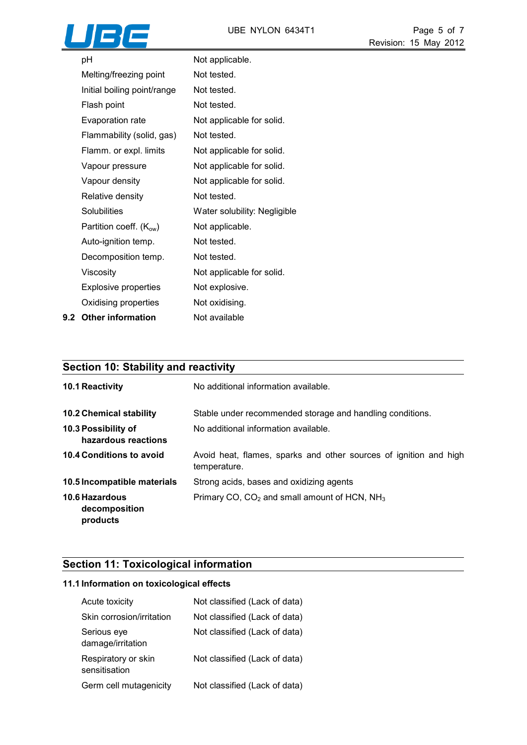

| рH                          | Not applicable.              |
|-----------------------------|------------------------------|
| Melting/freezing point      | Not tested.                  |
| Initial boiling point/range | Not tested.                  |
| Flash point                 | Not tested.                  |
| Evaporation rate            | Not applicable for solid.    |
| Flammability (solid, gas)   | Not tested.                  |
| Flamm. or expl. limits      | Not applicable for solid.    |
| Vapour pressure             | Not applicable for solid.    |
| Vapour density              | Not applicable for solid.    |
| Relative density            | Not tested.                  |
| <b>Solubilities</b>         | Water solubility: Negligible |
| Partition coeff. $(K_{ow})$ | Not applicable.              |
| Auto-ignition temp.         | Not tested.                  |
| Decomposition temp.         | Not tested.                  |
| Viscosity                   | Not applicable for solid.    |
| <b>Explosive properties</b> | Not explosive.               |
| Oxidising properties        | Not oxidising.               |
| 9.2 Other information       | Not available                |

# **Section 10: Stability and reactivity**

| <b>10.1 Reactivity</b>                                       | No additional information available.                                                              |
|--------------------------------------------------------------|---------------------------------------------------------------------------------------------------|
| <b>10.2 Chemical stability</b><br><b>10.3 Possibility of</b> | Stable under recommended storage and handling conditions.<br>No additional information available. |
| hazardous reactions                                          |                                                                                                   |
| <b>10.4 Conditions to avoid</b>                              | Avoid heat, flames, sparks and other sources of ignition and high<br>temperature.                 |
| 10.5 Incompatible materials                                  | Strong acids, bases and oxidizing agents                                                          |
| 10.6 Hazardous<br>decomposition<br>products                  | Primary CO, $CO2$ and small amount of HCN, NH <sub>3</sub>                                        |

## **Section 11: Toxicological information**

#### **11.1 Information on toxicological effects**

| Acute toxicity                       | Not classified (Lack of data) |
|--------------------------------------|-------------------------------|
| Skin corrosion/irritation            | Not classified (Lack of data) |
| Serious eye<br>damage/irritation     | Not classified (Lack of data) |
| Respiratory or skin<br>sensitisation | Not classified (Lack of data) |
| Germ cell mutagenicity               | Not classified (Lack of data) |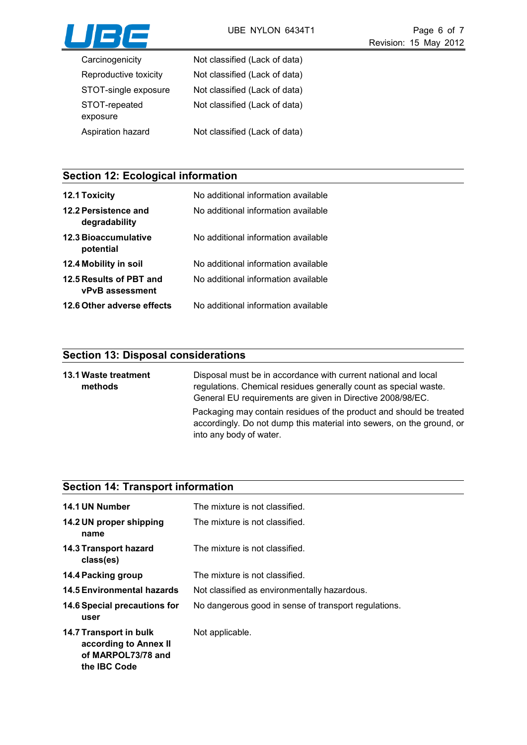

| Carcinogenicity           | Not classified (Lack of data) |
|---------------------------|-------------------------------|
| Reproductive toxicity     | Not classified (Lack of data) |
| STOT-single exposure      | Not classified (Lack of data) |
| STOT-repeated<br>exposure | Not classified (Lack of data) |
| Aspiration hazard         | Not classified (Lack of data) |

# **Section 12: Ecological information**

| <b>12.1 Toxicity</b>                              | No additional information available |
|---------------------------------------------------|-------------------------------------|
| 12.2 Persistence and<br>degradability             | No additional information available |
| <b>12.3 Bioaccumulative</b><br>potential          | No additional information available |
| 12.4 Mobility in soil                             | No additional information available |
| 12.5 Results of PBT and<br><b>vPvB</b> assessment | No additional information available |
| 12.6 Other adverse effects                        | No additional information available |

# **Section 13: Disposal considerations**

| <b>13.1 Waste treatment</b><br>methods | Disposal must be in accordance with current national and local<br>regulations. Chemical residues generally count as special waste.<br>General EU requirements are given in Directive 2008/98/EC. |
|----------------------------------------|--------------------------------------------------------------------------------------------------------------------------------------------------------------------------------------------------|
|                                        | Packaging may contain residues of the product and should be treated<br>accordingly. Do not dump this material into sewers, on the ground, or<br>into any body of water.                          |

# **Section 14: Transport information**

| 14.1 UN Number                                                                               | The mixture is not classified.                       |
|----------------------------------------------------------------------------------------------|------------------------------------------------------|
| 14.2 UN proper shipping<br>name                                                              | The mixture is not classified.                       |
| 14.3 Transport hazard<br>class(es)                                                           | The mixture is not classified.                       |
| 14.4 Packing group                                                                           | The mixture is not classified.                       |
| <b>14.5 Environmental hazards</b>                                                            | Not classified as environmentally hazardous.         |
| 14.6 Special precautions for<br>user                                                         | No dangerous good in sense of transport regulations. |
| 14.7 Transport in bulk<br>according to Annex II<br>of MARPOL73/78 and<br>the <b>IBC</b> Code | Not applicable.                                      |